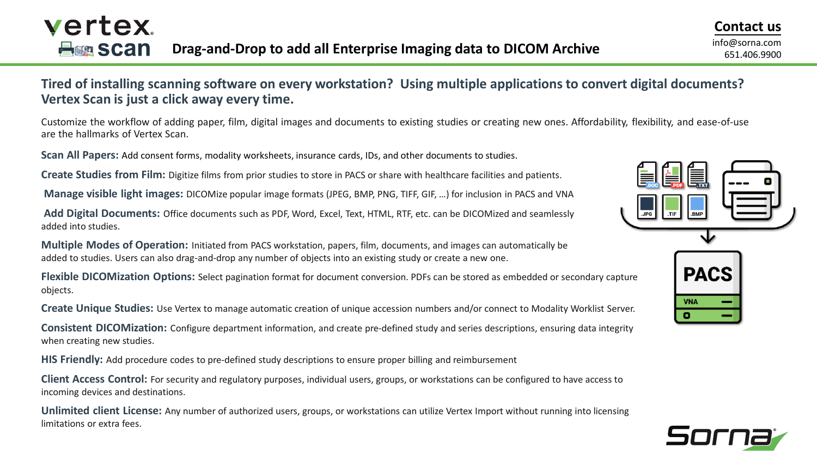651.406.9900

### **Tired of installing scanning software on every workstation? Using multiple applications to convert digital documents? Vertex Scan is just a click away every time.**

Customize the workflow of adding paper, film, digital images and documents to existing studies or creating new ones. Affordability, flexibility, and ease-of-use are the hallmarks of Vertex Scan.

**Scan All Papers:** Add consent forms, modality worksheets, insurance cards, IDs, and other documents to studies.

**Create Studies from Film:** Digitize films from prior studies to store in PACS or share with healthcare facilities and patients.

**Manage visible light images:** DICOMize popular image formats (JPEG, BMP, PNG, TIFF, GIF, …) for inclusion in PACS and VNA

**Add Digital Documents:** Office documents such as PDF, Word, Excel, Text, HTML, RTF, etc. can be DICOMized and seamlessly added into studies.

**Multiple Modes of Operation:** Initiated from PACS workstation, papers, film, documents, and images can automatically be added to studies. Users can also drag-and-drop any number of objects into an existing study or create a new one.

**Flexible DICOMization Options:** Select pagination format for document conversion. PDFs can be stored as embedded or secondary capture objects.

**Create Unique Studies:** Use Vertex to manage automatic creation of unique accession numbers and/or connect to Modality Worklist Server.

**Consistent DICOMization:** Configure department information, and create pre-defined study and series descriptions, ensuring data integrity when creating new studies.

**HIS Friendly:** Add procedure codes to pre-defined study descriptions to ensure proper billing and reimbursement

**Client Access Control:** For security and regulatory purposes, individual users, groups, or workstations can be configured to have access to incoming devices and destinations.

**Unlimited client License:** Any number of authorized users, groups, or workstations can utilize Vertex Import without running into licensing limitations or extra fees.